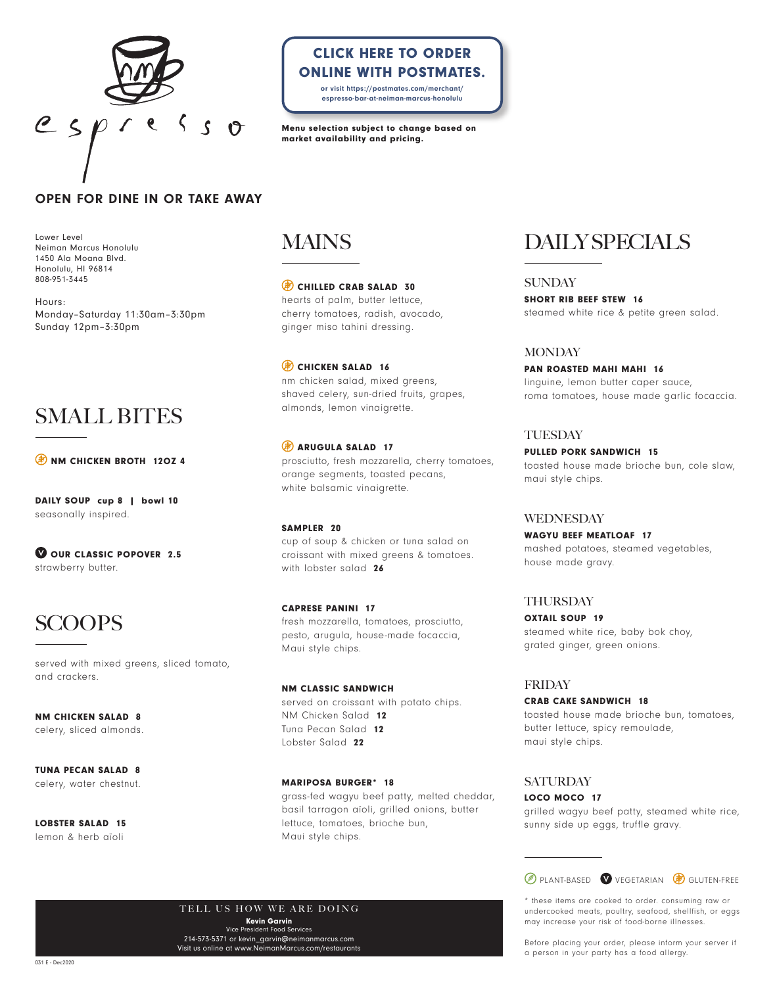

## CLICK HERE TO ORDER [ONLINE WITH POSTMATES.](https://postmates.com/merchant/espresso-bar-at-neiman-marcus-honolulu)

or visit https://postmates.com/merchant/ espresso-bar-at-neiman-marcus-honolulu

Menu selection subject to change based on market availability and pricing.

### OPEN FOR DINE IN OR TAKE AWAY

Lower Level Neiman Marcus Honolulu 1450 Ala Moana Blvd. Honolulu, HI 96814 808-951-3445

Hours: Monday–Saturday 11:30am–3:30pm Sunday 12pm–3:30pm

## SMALL BITES

**EX NM CHICKEN BROTH 120Z 4** 

DAILY SOUP cup 8 | bowl 10 seasonally inspired.

OUR CLASSIC POPOVER 2.5 strawberry butter.

# SCOOPS

served with mixed greens, sliced tomato, and crackers.

NM CHICKEN SALAD 8 celery, sliced almonds.

TUNA PECAN SALAD 8 celery, water chestnut.

LOBSTER SALAD 15 lemon & herb aïoli

## MAINS

CHILLED CRAB SALAD 30 hearts of palm, butter lettuce, cherry tomatoes, radish, avocado, ginger miso tahini dressing.

CHICKEN SALAD 16 nm chicken salad, mixed greens, shaved celery, sun-dried fruits, grapes, almonds, lemon vinaigrette.

**B** ARUGULA SALAD 17 prosciutto, fresh mozzarella, cherry tomatoes, orange segments, toasted pecans, white balsamic vinaigrette.

#### SAMPLER 20

cup of soup & chicken or tuna salad on croissant with mixed greens & tomatoes. with lobster salad 26

CAPRESE PANINI 17 fresh mozzarella, tomatoes, prosciutto, pesto, arugula, house-made focaccia, Maui style chips.

NM CLASSIC SANDWICH served on croissant with potato chips. NM Chicken Salad 12 Tuna Pecan Salad 12 Lobster Salad 22

MARIPOSA BURGER\* 18 grass-fed wagyu beef patty, melted cheddar, basil tarragon aïoli, grilled onions, butter lettuce, tomatoes, brioche bun, Maui style chips.

# **DAILY SPECIALS**

**SUNDAY** 

SHORT RIB BEEF STEW 16 steamed white rice & petite green salad.

#### **MONDAY**

PAN ROASTED MAHI MAHI 16 linguine, lemon butter caper sauce, roma tomatoes, house made garlic focaccia.

#### **TUESDAY**

PULLED PORK SANDWICH 15 toasted house made brioche bun, cole slaw, maui style chips.

#### WEDNESDAY

WAGYU BEEF MEATLOAF 17 mashed potatoes, steamed vegetables, house made gravy.

#### THURSDAY

OXTAIL SOUP 19 steamed white rice, baby bok choy, grated ginger, green onions.

#### FRIDAY

CRAB CAKE SANDWICH 18 toasted house made brioche bun, tomatoes, butter lettuce, spicy remoulade, maui style chips.

#### **SATURDAY**

LOCO MOCO 17 grilled wagyu beef patty, steamed white rice, sunny side up eggs, truffle gravy.



\* these items are cooked to order. consuming raw or undercooked meats, poultry, seafood, shellfish, or eggs may increase your risk of food-borne illnesses.

Before placing your order, please inform your server if a person in your party has a food allergy.

TELL US HOW WE ARE DOING Kevin Garvin Vice President Food Services 214-573-5371 or kevin\_garvin@neimanmarcus.com

Visit us online at www.NeimanMarcus.com/restaurants